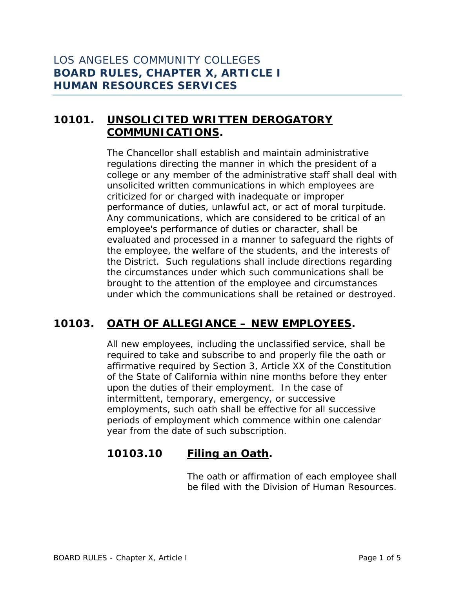# **10101. UNSOLICITED WRITTEN DEROGATORY COMMUNICATIONS.**

The Chancellor shall establish and maintain administrative regulations directing the manner in which the president of a college or any member of the administrative staff shall deal with unsolicited written communications in which employees are criticized for or charged with inadequate or improper performance of duties, unlawful act, or act of moral turpitude. Any communications, which are considered to be critical of an employee's performance of duties or character, shall be evaluated and processed in a manner to safeguard the rights of the employee, the welfare of the students, and the interests of the District. Such regulations shall include directions regarding the circumstances under which such communications shall be brought to the attention of the employee and circumstances under which the communications shall be retained or destroyed.

# **10103. OATH OF ALLEGIANCE – NEW EMPLOYEES.**

All new employees, including the unclassified service, shall be required to take and subscribe to and properly file the oath or affirmative required by Section 3, Article XX of the Constitution of the State of California within nine months before they enter upon the duties of their employment. In the case of intermittent, temporary, emergency, or successive employments, such oath shall be effective for all successive periods of employment which commence within one calendar year from the date of such subscription.

### **10103.10 Filing an Oath.**

The oath or affirmation of each employee shall be filed with the Division of Human Resources.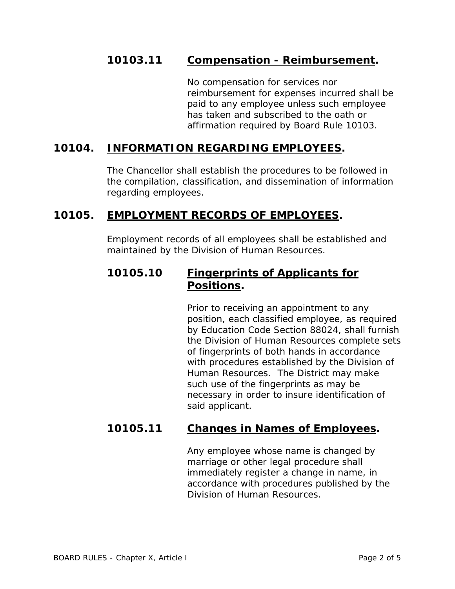### **10103.11 Compensation - Reimbursement.**

No compensation for services nor reimbursement for expenses incurred shall be paid to any employee unless such employee has taken and subscribed to the oath or affirmation required by Board Rule 10103.

### **10104. INFORMATION REGARDING EMPLOYEES.**

The Chancellor shall establish the procedures to be followed in the compilation, classification, and dissemination of information regarding employees.

#### **10105. EMPLOYMENT RECORDS OF EMPLOYEES.**

Employment records of all employees shall be established and maintained by the Division of Human Resources.

## **10105.10 Fingerprints of Applicants for Positions.**

Prior to receiving an appointment to any position, each classified employee, as required by Education Code Section 88024, shall furnish the Division of Human Resources complete sets of fingerprints of both hands in accordance with procedures established by the Division of Human Resources. The District may make such use of the fingerprints as may be necessary in order to insure identification of said applicant.

#### **10105.11 Changes in Names of Employees.**

Any employee whose name is changed by marriage or other legal procedure shall immediately register a change in name, in accordance with procedures published by the Division of Human Resources.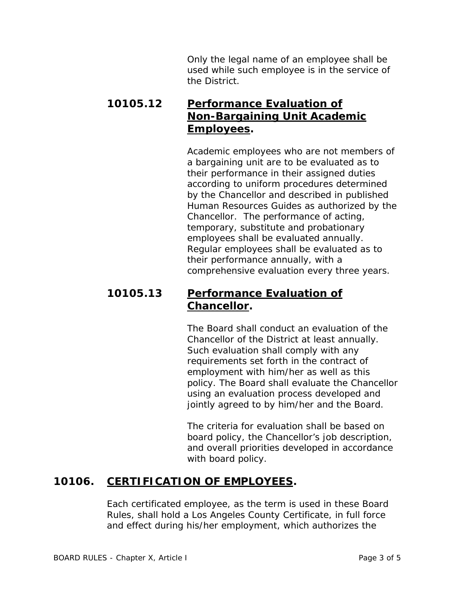Only the legal name of an employee shall be used while such employee is in the service of the District.

# **10105.12 Performance Evaluation of Non-Bargaining Unit Academic Employees.**

Academic employees who are not members of a bargaining unit are to be evaluated as to their performance in their assigned duties according to uniform procedures determined by the Chancellor and described in published Human Resources Guides as authorized by the Chancellor. The performance of acting, temporary, substitute and probationary employees shall be evaluated annually. Regular employees shall be evaluated as to their performance annually, with a comprehensive evaluation every three years.

### **10105.13 Performance Evaluation of Chancellor.**

The Board shall conduct an evaluation of the Chancellor of the District at least annually. Such evaluation shall comply with any requirements set forth in the contract of employment with him/her as well as this policy. The Board shall evaluate the Chancellor using an evaluation process developed and jointly agreed to by him/her and the Board.

The criteria for evaluation shall be based on board policy, the Chancellor's job description, and overall priorities developed in accordance with board policy.

# **10106. CERTIFICATION OF EMPLOYEES.**

Each certificated employee, as the term is used in these Board Rules, shall hold a Los Angeles County Certificate, in full force and effect during his/her employment, which authorizes the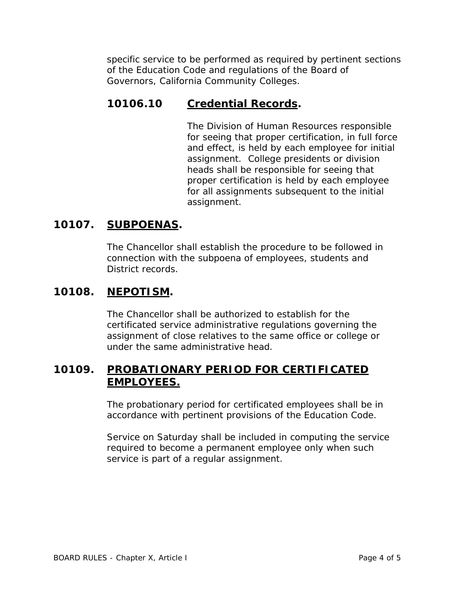specific service to be performed as required by pertinent sections of the Education Code and regulations of the Board of Governors, California Community Colleges.

## **10106.10 Credential Records.**

The Division of Human Resources responsible for seeing that proper certification, in full force and effect, is held by each employee for initial assignment. College presidents or division heads shall be responsible for seeing that proper certification is held by each employee for all assignments subsequent to the initial assignment.

## **10107. SUBPOENAS.**

The Chancellor shall establish the procedure to be followed in connection with the subpoena of employees, students and District records.

## **10108. NEPOTISM.**

The Chancellor shall be authorized to establish for the certificated service administrative regulations governing the assignment of close relatives to the same office or college or under the same administrative head.

### **10109. PROBATIONARY PERIOD FOR CERTIFICATED EMPLOYEES.**

The probationary period for certificated employees shall be in accordance with pertinent provisions of the Education Code.

Service on Saturday shall be included in computing the service required to become a permanent employee only when such service is part of a regular assignment.